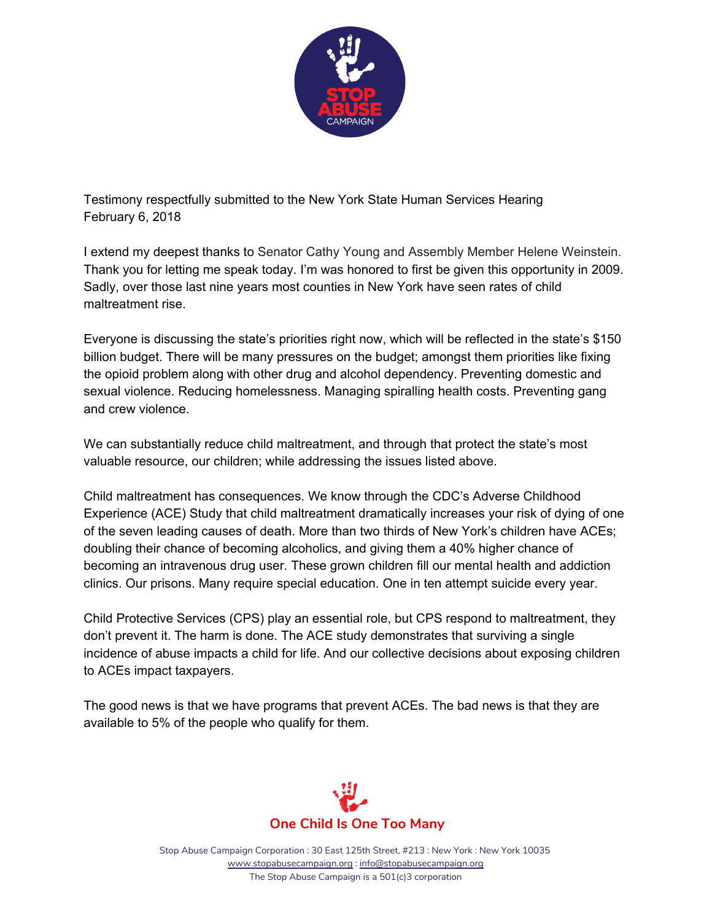

Testimony respectfully submitted to the New York State Human Services Hearing February 6, 2018

I extend my deepest thanks to Senator Cathy Young and Assembly Member Helene Weinstein. Thank you for letting me speak today. I'm was honored to first be given this opportunity in 2009. Sadly, over those last nine years most counties in New York have seen rates of child maltreatment rise.

Everyone is discussing the state's priorities right now, which will be reflected in the state's \$150 billion budget. There will be many pressures on the budget; amongst them priorities like fixing the opioid problem along with other drug and alcohol dependency. Preventing domestic and sexual violence. Reducing homelessness. Managing spiralling health costs. Preventing gang and crew violence.

We can substantially reduce child maltreatment, and through that protect the state's most valuable resource, our children; while addressing the issues listed above.

Child maltreatment has consequences. We know through the CDC's Adverse Childhood Experience (ACE) Study that child maltreatment dramatically increases your risk of dying of one of the seven leading causes of death. More than two thirds of New York's children have ACEs; doubling their chance of becoming alcoholics, and giving them a 40% higher chance of becoming an intravenous drug user. These grown children fill our mental health and addiction clinics. Our prisons. Many require special education. One in ten attempt suicide every year.

Child Protective Services (CPS) play an essential role, but CPS respond to maltreatment, they don't prevent it. The harm is done. The ACE study demonstrates that surviving a single incidence of abuse impacts a child for life. And our collective decisions about exposing children to ACEs impact taxpayers.

The good news is that we have programs that prevent ACEs. The bad news is that they are available to 5% of the people who qualify for them.



Stop Abuse Campaign Corporation : 30 East 125th Street, #213 : New York : New York 10035 [www.stopabusecampaign.org](http://www.stopabusecampaign.org/) : [info@stopabusecampaign.org](mailto:info@stopabusecampaign.org) The Stop Abuse Campaign is a 501(c)3 corporation